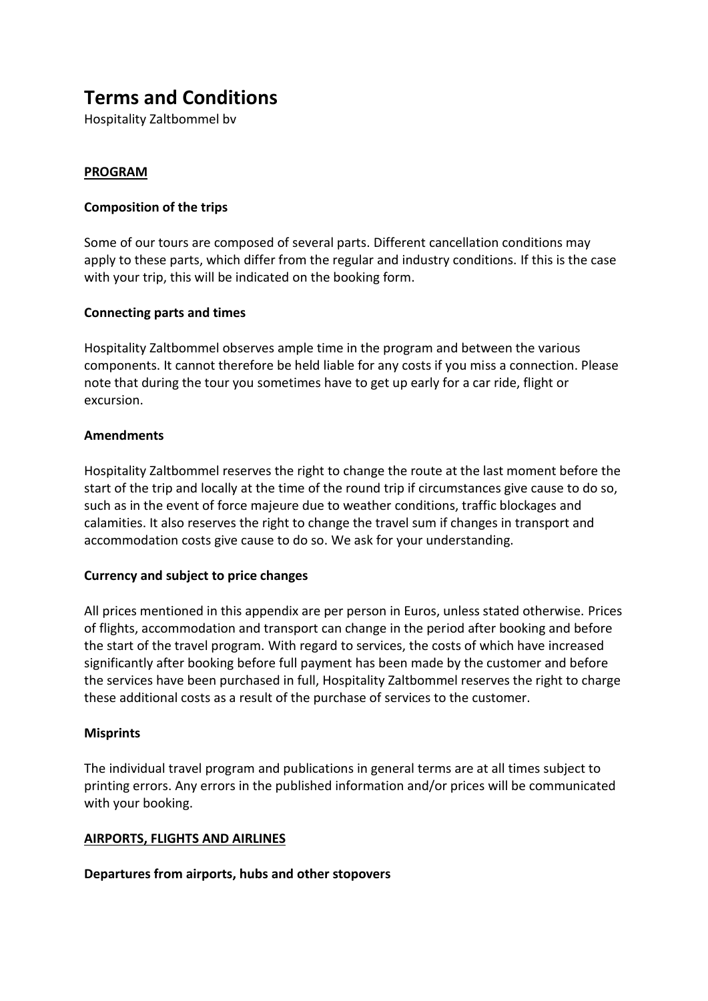# **Terms and Conditions**

Hospitality Zaltbommel bv

# **PROGRAM**

# **Composition of the trips**

Some of our tours are composed of several parts. Different cancellation conditions may apply to these parts, which differ from the regular and industry conditions. If this is the case with your trip, this will be indicated on the booking form.

# **Connecting parts and times**

Hospitality Zaltbommel observes ample time in the program and between the various components. It cannot therefore be held liable for any costs if you miss a connection. Please note that during the tour you sometimes have to get up early for a car ride, flight or excursion.

# **Amendments**

Hospitality Zaltbommel reserves the right to change the route at the last moment before the start of the trip and locally at the time of the round trip if circumstances give cause to do so, such as in the event of force majeure due to weather conditions, traffic blockages and calamities. It also reserves the right to change the travel sum if changes in transport and accommodation costs give cause to do so. We ask for your understanding.

# **Currency and subject to price changes**

All prices mentioned in this appendix are per person in Euros, unless stated otherwise. Prices of flights, accommodation and transport can change in the period after booking and before the start of the travel program. With regard to services, the costs of which have increased significantly after booking before full payment has been made by the customer and before the services have been purchased in full, Hospitality Zaltbommel reserves the right to charge these additional costs as a result of the purchase of services to the customer.

# **Misprints**

The individual travel program and publications in general terms are at all times subject to printing errors. Any errors in the published information and/or prices will be communicated with your booking.

# **AIRPORTS, FLIGHTS AND AIRLINES**

# **Departures from airports, hubs and other stopovers**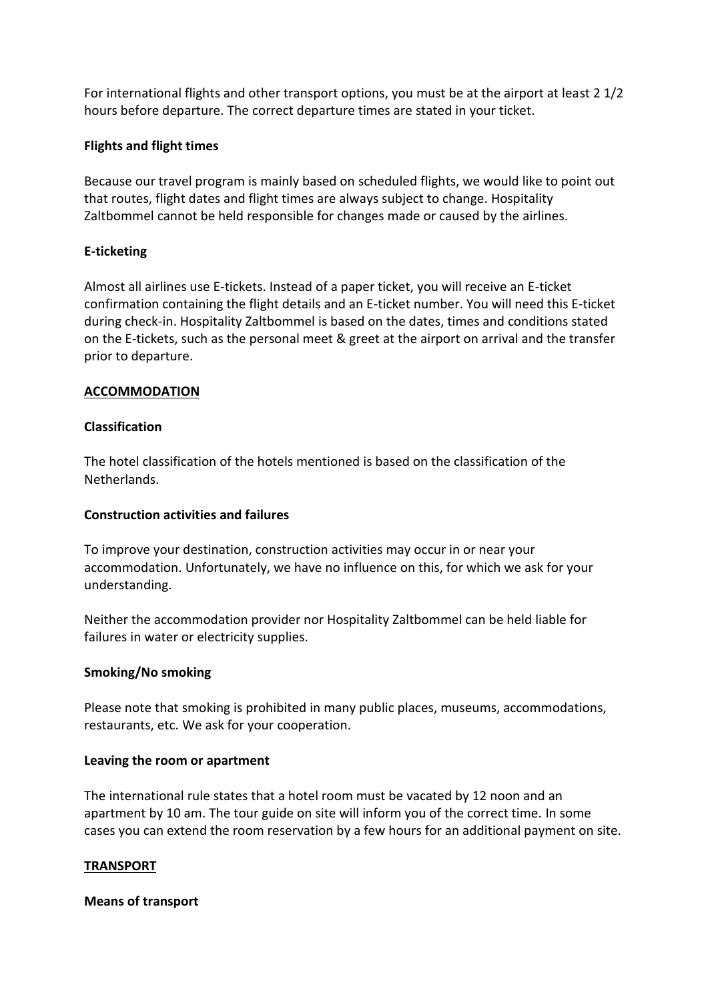For international flights and other transport options, you must be at the airport at least 2 1/2 hours before departure. The correct departure times are stated in your ticket.

#### **Flights and flight times**

Because our travel program is mainly based on scheduled flights, we would like to point out that routes, flight dates and flight times are always subject to change. Hospitality Zaltbommel cannot be held responsible for changes made or caused by the airlines.

## **E-ticketing**

Almost all airlines use E-tickets. Instead of a paper ticket, you will receive an E-ticket confirmation containing the flight details and an E-ticket number. You will need this E-ticket during check-in. Hospitality Zaltbommel is based on the dates, times and conditions stated on the E-tickets, such as the personal meet & greet at the airport on arrival and the transfer prior to departure.

## **ACCOMMODATION**

## **Classification**

The hotel classification of the hotels mentioned is based on the classification of the Netherlands.

#### **Construction activities and failures**

To improve your destination, construction activities may occur in or near your accommodation. Unfortunately, we have no influence on this, for which we ask for your understanding.

Neither the accommodation provider nor Hospitality Zaltbommel can be held liable for failures in water or electricity supplies.

#### **Smoking/No smoking**

Please note that smoking is prohibited in many public places, museums, accommodations, restaurants, etc. We ask for your cooperation.

#### **Leaving the room or apartment**

The international rule states that a hotel room must be vacated by 12 noon and an apartment by 10 am. The tour guide on site will inform you of the correct time. In some cases you can extend the room reservation by a few hours for an additional payment on site.

# **TRANSPORT**

#### **Means of transport**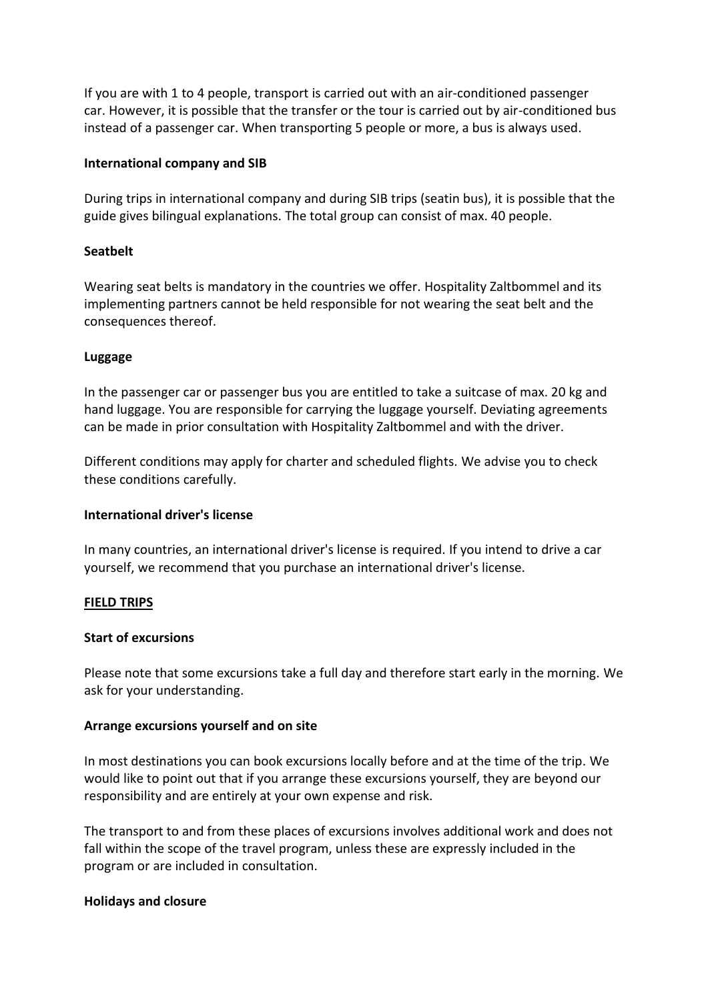If you are with 1 to 4 people, transport is carried out with an air-conditioned passenger car. However, it is possible that the transfer or the tour is carried out by air-conditioned bus instead of a passenger car. When transporting 5 people or more, a bus is always used.

#### **International company and SIB**

During trips in international company and during SIB trips (seatin bus), it is possible that the guide gives bilingual explanations. The total group can consist of max. 40 people.

## **Seatbelt**

Wearing seat belts is mandatory in the countries we offer. Hospitality Zaltbommel and its implementing partners cannot be held responsible for not wearing the seat belt and the consequences thereof.

## **Luggage**

In the passenger car or passenger bus you are entitled to take a suitcase of max. 20 kg and hand luggage. You are responsible for carrying the luggage yourself. Deviating agreements can be made in prior consultation with Hospitality Zaltbommel and with the driver.

Different conditions may apply for charter and scheduled flights. We advise you to check these conditions carefully.

#### **International driver's license**

In many countries, an international driver's license is required. If you intend to drive a car yourself, we recommend that you purchase an international driver's license.

#### **FIELD TRIPS**

#### **Start of excursions**

Please note that some excursions take a full day and therefore start early in the morning. We ask for your understanding.

# **Arrange excursions yourself and on site**

In most destinations you can book excursions locally before and at the time of the trip. We would like to point out that if you arrange these excursions yourself, they are beyond our responsibility and are entirely at your own expense and risk.

The transport to and from these places of excursions involves additional work and does not fall within the scope of the travel program, unless these are expressly included in the program or are included in consultation.

# **Holidays and closure**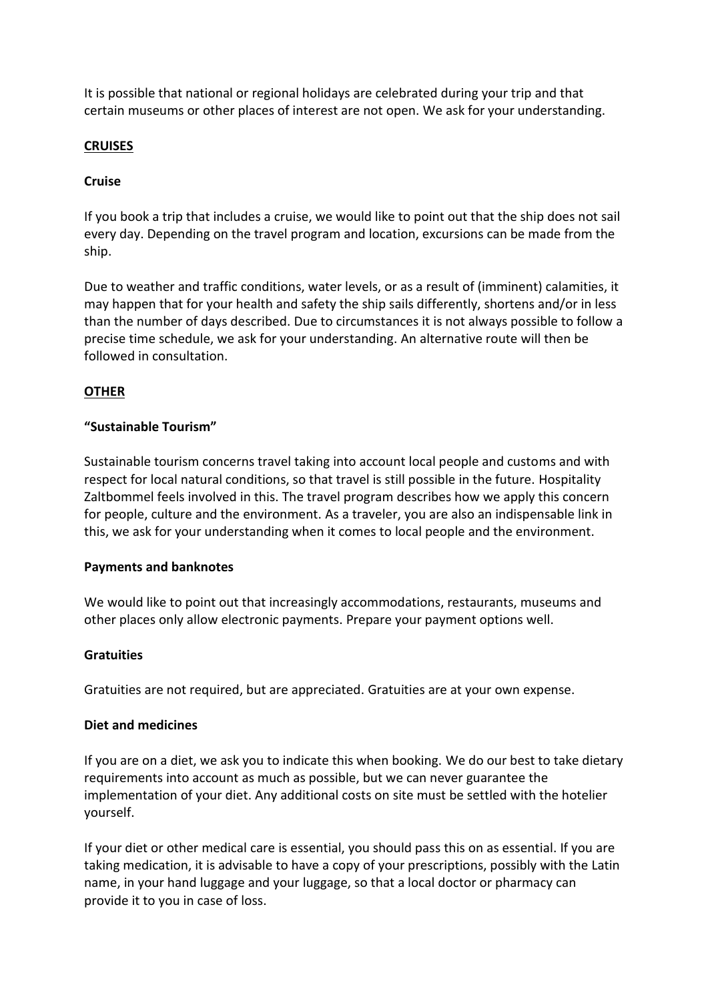It is possible that national or regional holidays are celebrated during your trip and that certain museums or other places of interest are not open. We ask for your understanding.

#### **CRUISES**

## **Cruise**

If you book a trip that includes a cruise, we would like to point out that the ship does not sail every day. Depending on the travel program and location, excursions can be made from the ship.

Due to weather and traffic conditions, water levels, or as a result of (imminent) calamities, it may happen that for your health and safety the ship sails differently, shortens and/or in less than the number of days described. Due to circumstances it is not always possible to follow a precise time schedule, we ask for your understanding. An alternative route will then be followed in consultation.

## **OTHER**

#### **"Sustainable Tourism"**

Sustainable tourism concerns travel taking into account local people and customs and with respect for local natural conditions, so that travel is still possible in the future. Hospitality Zaltbommel feels involved in this. The travel program describes how we apply this concern for people, culture and the environment. As a traveler, you are also an indispensable link in this, we ask for your understanding when it comes to local people and the environment.

#### **Payments and banknotes**

We would like to point out that increasingly accommodations, restaurants, museums and other places only allow electronic payments. Prepare your payment options well.

#### **Gratuities**

Gratuities are not required, but are appreciated. Gratuities are at your own expense.

#### **Diet and medicines**

If you are on a diet, we ask you to indicate this when booking. We do our best to take dietary requirements into account as much as possible, but we can never guarantee the implementation of your diet. Any additional costs on site must be settled with the hotelier yourself.

If your diet or other medical care is essential, you should pass this on as essential. If you are taking medication, it is advisable to have a copy of your prescriptions, possibly with the Latin name, in your hand luggage and your luggage, so that a local doctor or pharmacy can provide it to you in case of loss.